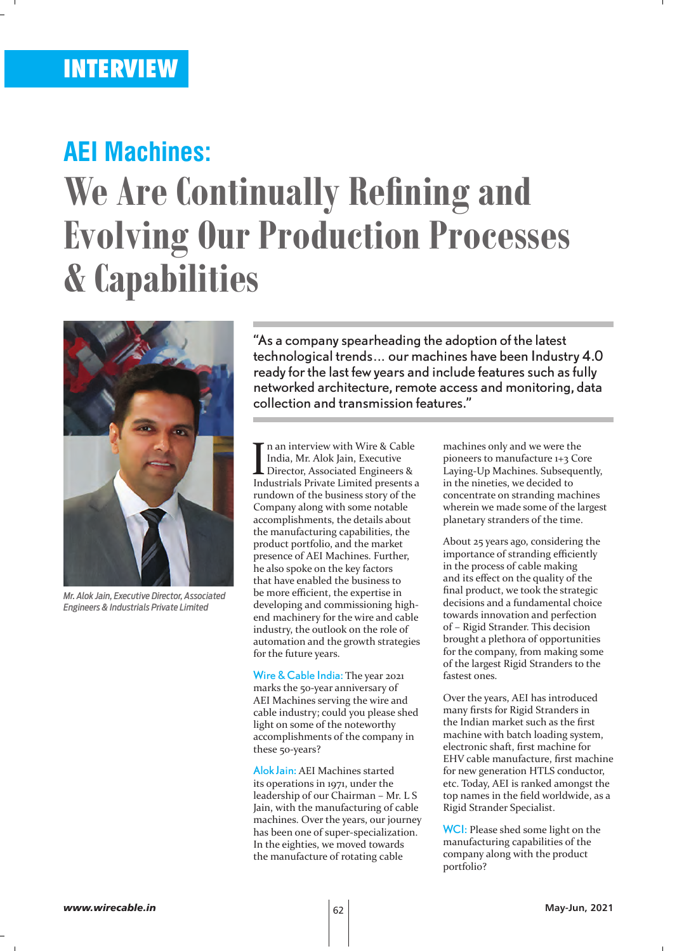## **AEI Machines:**

# **We Are Continually Refining and Evolving Our Production Processes & Capabilities**



*Mr. Alok Jain, Executive Director, Associated Engineers & Industrials Private Limited*

"As a company spearheading the adoption of the latest technological trends… our machines have been Industry 4.0 ready for the last few years and include features such as fully networked architecture, remote access and monitoring, data collection and transmission features."

In an interview with Wire & Cable<br>India, Mr. Alok Jain, Executive<br>Director, Associated Engineers &<br>Industrials Private Limited presents a n an interview with Wire & Cable India, Mr. Alok Jain, Executive Director, Associated Engineers & rundown of the business story of the Company along with some notable accomplishments, the details about the manufacturing capabilities, the product portfolio, and the market presence of AEI Machines. Further, he also spoke on the key factors that have enabled the business to be more efficient, the expertise in developing and commissioning highend machinery for the wire and cable industry, the outlook on the role of automation and the growth strategies for the future years.

Wire & Cable India: The year 2021 marks the 50-year anniversary of AEI Machines serving the wire and cable industry; could you please shed light on some of the noteworthy accomplishments of the company in these 50-years?

Alok Jain: AEI Machines started its operations in 1971, under the leadership of our Chairman – Mr. L S Jain, with the manufacturing of cable machines. Over the years, our journey has been one of super-specialization. In the eighties, we moved towards the manufacture of rotating cable

machines only and we were the pioneers to manufacture 1+3 Core Laying-Up Machines. Subsequently, in the nineties, we decided to concentrate on stranding machines wherein we made some of the largest planetary stranders of the time.

About 25 years ago, considering the importance of stranding efficiently in the process of cable making and its effect on the quality of the final product, we took the strategic decisions and a fundamental choice towards innovation and perfection of – Rigid Strander. This decision brought a plethora of opportunities for the company, from making some of the largest Rigid Stranders to the fastest ones.

Over the years, AEI has introduced many firsts for Rigid Stranders in the Indian market such as the first machine with batch loading system, electronic shaft, first machine for EHV cable manufacture, first machine for new generation HTLS conductor, etc. Today, AEI is ranked amongst the top names in the field worldwide, as a Rigid Strander Specialist.

WCI: Please shed some light on the manufacturing capabilities of the company along with the product portfolio?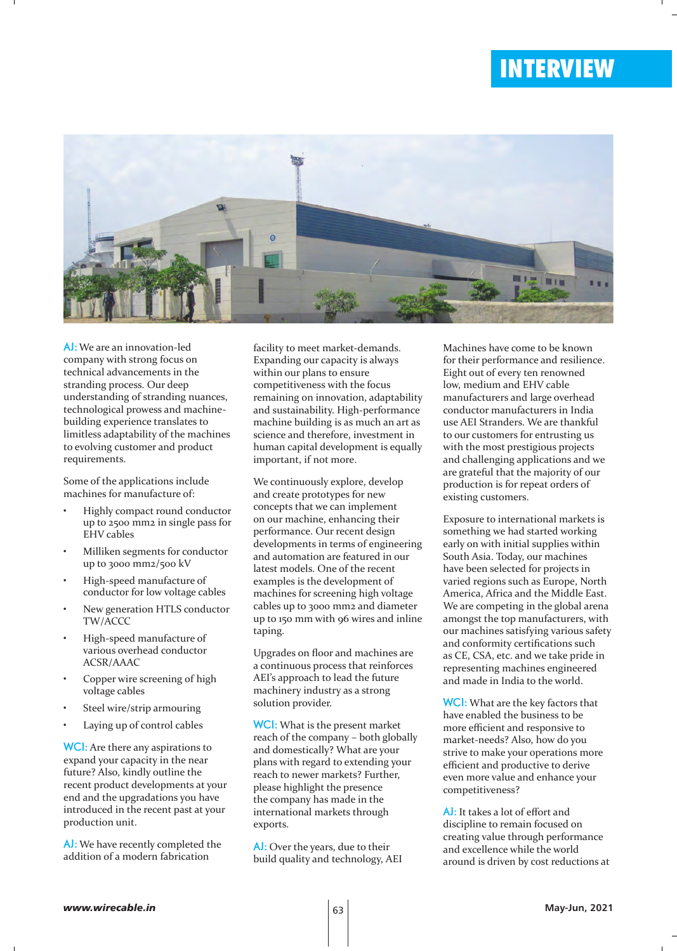

AJ: We are an innovation-led company with strong focus on technical advancements in the stranding process. Our deep understanding of stranding nuances, technological prowess and machinebuilding experience translates to limitless adaptability of the machines to evolving customer and product requirements.

Some of the applications include machines for manufacture of:

- Highly compact round conductor up to 2500 mm2 in single pass for EHV cables
- Milliken segments for conductor up to 3000 mm2/500 kV
- High-speed manufacture of conductor for low voltage cables
- New generation HTLS conductor TW/ACCC
- High-speed manufacture of various overhead conductor ACSR/AAAC
- Copper wire screening of high voltage cables
- Steel wire/strip armouring
- Laying up of control cables

WCI: Are there any aspirations to expand your capacity in the near future? Also, kindly outline the recent product developments at your end and the upgradations you have introduced in the recent past at your production unit.

AJ: We have recently completed the addition of a modern fabrication

facility to meet market-demands. Expanding our capacity is always within our plans to ensure competitiveness with the focus remaining on innovation, adaptability and sustainability. High-performance machine building is as much an art as science and therefore, investment in human capital development is equally important, if not more.

We continuously explore, develop and create prototypes for new concepts that we can implement on our machine, enhancing their performance. Our recent design developments in terms of engineering and automation are featured in our latest models. One of the recent examples is the development of machines for screening high voltage cables up to 3000 mm2 and diameter up to 150 mm with 96 wires and inline taping.

Upgrades on floor and machines are a continuous process that reinforces AEI's approach to lead the future machinery industry as a strong solution provider.

WCI: What is the present market reach of the company – both globally and domestically? What are your plans with regard to extending your reach to newer markets? Further, please highlight the presence the company has made in the international markets through exports.

AJ: Over the years, due to their build quality and technology, AEI Machines have come to be known for their performance and resilience. Eight out of every ten renowned low, medium and EHV cable manufacturers and large overhead conductor manufacturers in India use AEI Stranders. We are thankful to our customers for entrusting us with the most prestigious projects and challenging applications and we are grateful that the majority of our production is for repeat orders of existing customers.

Exposure to international markets is something we had started working early on with initial supplies within South Asia. Today, our machines have been selected for projects in varied regions such as Europe, North America, Africa and the Middle East. We are competing in the global arena amongst the top manufacturers, with our machines satisfying various safety and conformity certifications such as CE, CSA, etc. and we take pride in representing machines engineered and made in India to the world.

WCI: What are the key factors that have enabled the business to be more efficient and responsive to market-needs? Also, how do you strive to make your operations more efficient and productive to derive even more value and enhance your competitiveness?

AJ: It takes a lot of effort and discipline to remain focused on creating value through performance and excellence while the world around is driven by cost reductions at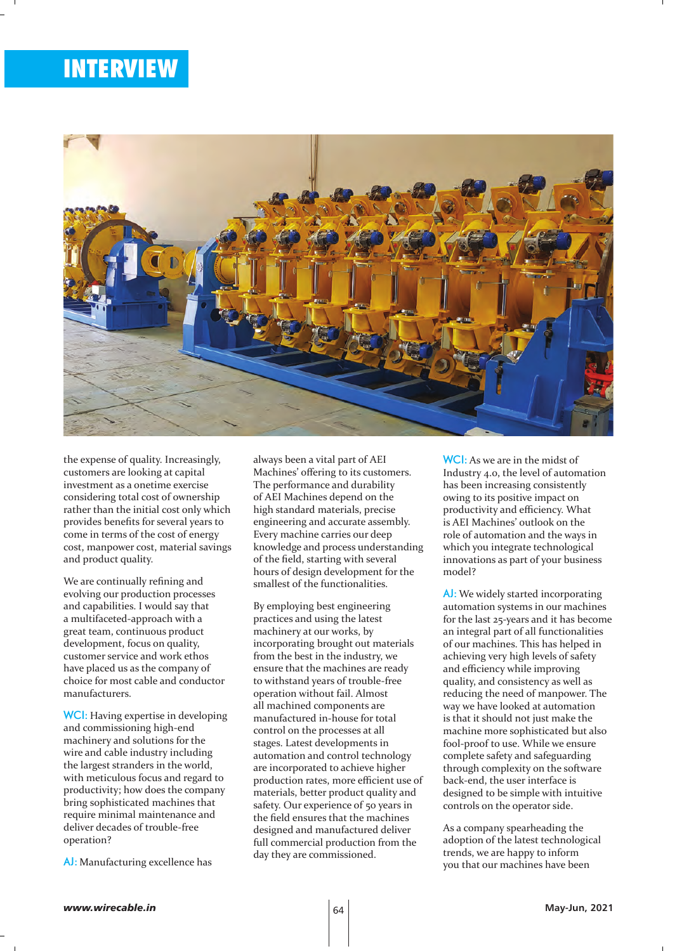

the expense of quality. Increasingly, customers are looking at capital investment as a onetime exercise considering total cost of ownership rather than the initial cost only which provides benefits for several years to come in terms of the cost of energy cost, manpower cost, material savings and product quality.

We are continually refining and evolving our production processes and capabilities. I would say that a multifaceted-approach with a great team, continuous product development, focus on quality, customer service and work ethos have placed us as the company of choice for most cable and conductor manufacturers.

WCI: Having expertise in developing and commissioning high-end machinery and solutions for the wire and cable industry including the largest stranders in the world, with meticulous focus and regard to productivity; how does the company bring sophisticated machines that require minimal maintenance and deliver decades of trouble-free operation?

AJ: Manufacturing excellence has

always been a vital part of AEI Machines' offering to its customers. The performance and durability of AEI Machines depend on the high standard materials, precise engineering and accurate assembly. Every machine carries our deep knowledge and process understanding of the field, starting with several hours of design development for the smallest of the functionalities.

By employing best engineering practices and using the latest machinery at our works, by incorporating brought out materials from the best in the industry, we ensure that the machines are ready to withstand years of trouble-free operation without fail. Almost all machined components are manufactured in-house for total control on the processes at all stages. Latest developments in automation and control technology are incorporated to achieve higher production rates, more efficient use of materials, better product quality and safety. Our experience of 50 years in the field ensures that the machines designed and manufactured deliver full commercial production from the day they are commissioned.

WCI: As we are in the midst of Industry 4.0, the level of automation has been increasing consistently owing to its positive impact on productivity and efficiency. What is AEI Machines' outlook on the role of automation and the ways in which you integrate technological innovations as part of your business model?

AJ: We widely started incorporating automation systems in our machines for the last 25-years and it has become an integral part of all functionalities of our machines. This has helped in achieving very high levels of safety and efficiency while improving quality, and consistency as well as reducing the need of manpower. The way we have looked at automation is that it should not just make the machine more sophisticated but also fool-proof to use. While we ensure complete safety and safeguarding through complexity on the software back-end, the user interface is designed to be simple with intuitive controls on the operator side.

As a company spearheading the adoption of the latest technological trends, we are happy to inform you that our machines have been